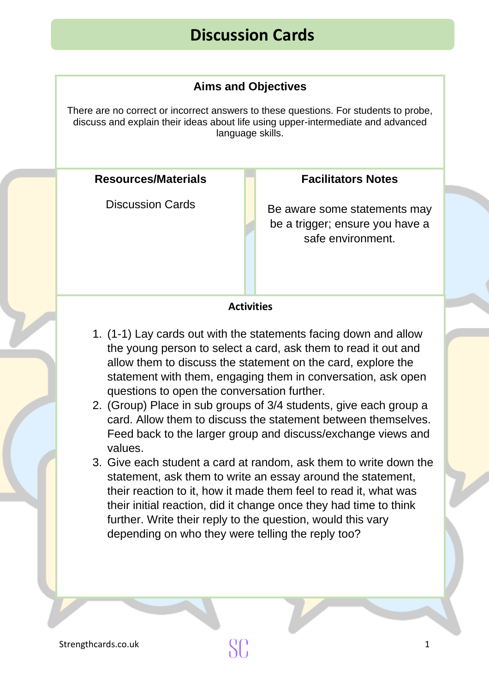# **Discussion Cards**

### **Aims and Objectives**

There are no correct or incorrect answers to these questions. For students to probe, discuss and explain their ideas about life using upper-intermediate and advanced language skills.

#### **[Resources/Mater](https://publicdomainvectors.org/en/free-clipart/Vector-drawing-of-square-and-round-chat-bubbles/21349.html)ials**

Discussion Cards

#### **Facilitators Notes**

Be aware [some statements may](https://publicdomainvectors.org/en/free-clipart/Vector-drawing-of-square-and-round-chat-bubbles/21349.html)  be a trigger; ensure you have a safe environment.

#### **Activities**

- 1. (1-1) Lay [cards out with the statements facing d](https://publicdomainvectors.org/en/free-clipart/Vector-drawing-of-square-and-round-chat-bubbles/21349.html)own and allow the young person to select a card, ask them to read it out and [allow](https://publicdomainvectors.org/en/free-clipart/Vector-drawing-of-square-and-round-chat-bubbles/21349.html) them to discuss the statement on the card, explore the statement with them, engaging them in conversation, ask open questions to open the conversation further.
- 2. (Group) Place in sub groups of 3/4 students, give each group a card. Allow them to discuss the statement between themselves. Feed back to the larger group and discuss/exchange views and values.
- 3. [Give each student a ca](https://publicdomainvectors.org/en/free-clipart/Vector-drawing-of-square-and-round-chat-bubbles/21349.html)rd at rand[om, ask them to write down the](https://publicdomainvectors.org/en/free-clipart/Vector-drawing-of-square-and-round-chat-bubbles/21349.html)  statement, ask them to write an essay around the statement, their reaction to it, how it made them feel to read it, what was their initial reaction, did it change once they had time to think further. Write their reply to the question, would this vary depending on who they were telling the reply too?